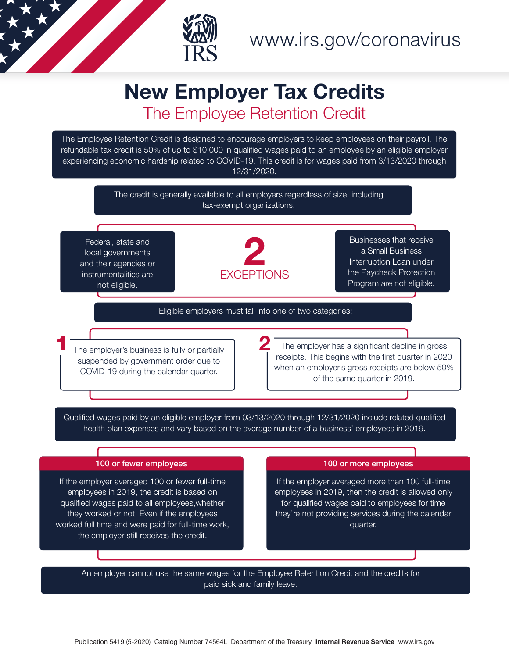

## New Employer Tax Credits The Employee Retention Credit

The Employee Retention Credit is designed to encourage employers to keep employees on their payroll. The refundable tax credit is 50% of up to \$10,000 in qualified wages paid to an employee by an eligible employer experiencing economic hardship related to COVID-19. This credit is for wages paid from 3/13/2020 through 12/31/2020.